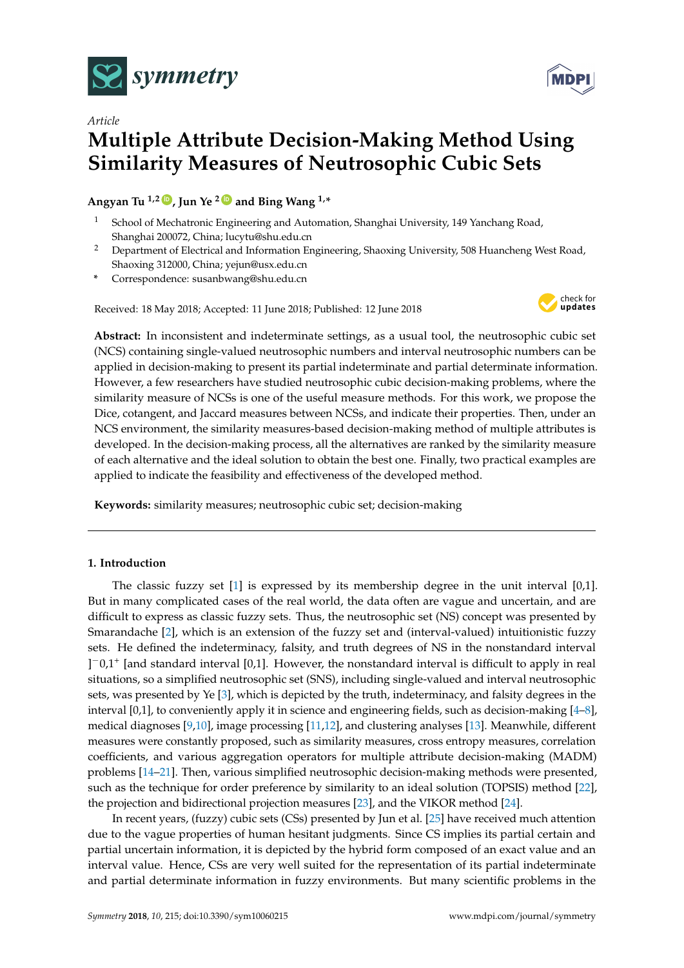



Angyan Tu<sup>1,2</sup>  $\bullet$ , Jun Ye<sup>2</sup> $\bullet$  and Bing Wang<sup>1,\*</sup>

- <sup>1</sup> School of Mechatronic Engineering and Automation, Shanghai University, 149 Yanchang Road, Shanghai 200072, China; lucytu@shu.edu.cn
- <sup>2</sup> Department of Electrical and Information Engineering, Shaoxing University, 508 Huancheng West Road, Shaoxing 312000, China; yejun@usx.edu.cn
- **\*** Correspondence: susanbwang@shu.edu.cn

Received: 18 May 2018; Accepted: 11 June 2018; Published: 12 June 2018



**Abstract:** In inconsistent and indeterminate settings, as a usual tool, the neutrosophic cubic set (NCS) containing single-valued neutrosophic numbers and interval neutrosophic numbers can be applied in decision-making to present its partial indeterminate and partial determinate information. However, a few researchers have studied neutrosophic cubic decision-making problems, where the similarity measure of NCSs is one of the useful measure methods. For this work, we propose the Dice, cotangent, and Jaccard measures between NCSs, and indicate their properties. Then, under an NCS environment, the similarity measures-based decision-making method of multiple attributes is developed. In the decision-making process, all the alternatives are ranked by the similarity measure of each alternative and the ideal solution to obtain the best one. Finally, two practical examples are applied to indicate the feasibility and effectiveness of the developed method.

**Keywords:** similarity measures; neutrosophic cubic set; decision-making

# **1. Introduction**

The classic fuzzy set [\[1\]](#page-9-0) is expressed by its membership degree in the unit interval [0,1]. But in many complicated cases of the real world, the data often are vague and uncertain, and are difficult to express as classic fuzzy sets. Thus, the neutrosophic set (NS) concept was presented by Smarandache [\[2\]](#page-9-1), which is an extension of the fuzzy set and (interval-valued) intuitionistic fuzzy sets. He defined the indeterminacy, falsity, and truth degrees of NS in the nonstandard interval ] <sup>−</sup>0,1<sup>+</sup> [and standard interval [0,1]. However, the nonstandard interval is difficult to apply in real situations, so a simplified neutrosophic set (SNS), including single-valued and interval neutrosophic sets, was presented by Ye [\[3\]](#page-9-2), which is depicted by the truth, indeterminacy, and falsity degrees in the interval [0,1], to conveniently apply it in science and engineering fields, such as decision-making [\[4](#page-9-3)[–8\]](#page-9-4), medical diagnoses [\[9](#page-9-5)[,10\]](#page-9-6), image processing [\[11](#page-9-7)[,12\]](#page-9-8), and clustering analyses [\[13\]](#page-9-9). Meanwhile, different measures were constantly proposed, such as similarity measures, cross entropy measures, correlation coefficients, and various aggregation operators for multiple attribute decision-making (MADM) problems [\[14](#page-9-10)[–21\]](#page-10-0). Then, various simplified neutrosophic decision-making methods were presented, such as the technique for order preference by similarity to an ideal solution (TOPSIS) method [\[22\]](#page-10-1), the projection and bidirectional projection measures [\[23\]](#page-10-2), and the VIKOR method [\[24\]](#page-10-3).

In recent years, (fuzzy) cubic sets (CSs) presented by Jun et al. [\[25\]](#page-10-4) have received much attention due to the vague properties of human hesitant judgments. Since CS implies its partial certain and partial uncertain information, it is depicted by the hybrid form composed of an exact value and an interval value. Hence, CSs are very well suited for the representation of its partial indeterminate and partial determinate information in fuzzy environments. But many scientific problems in the

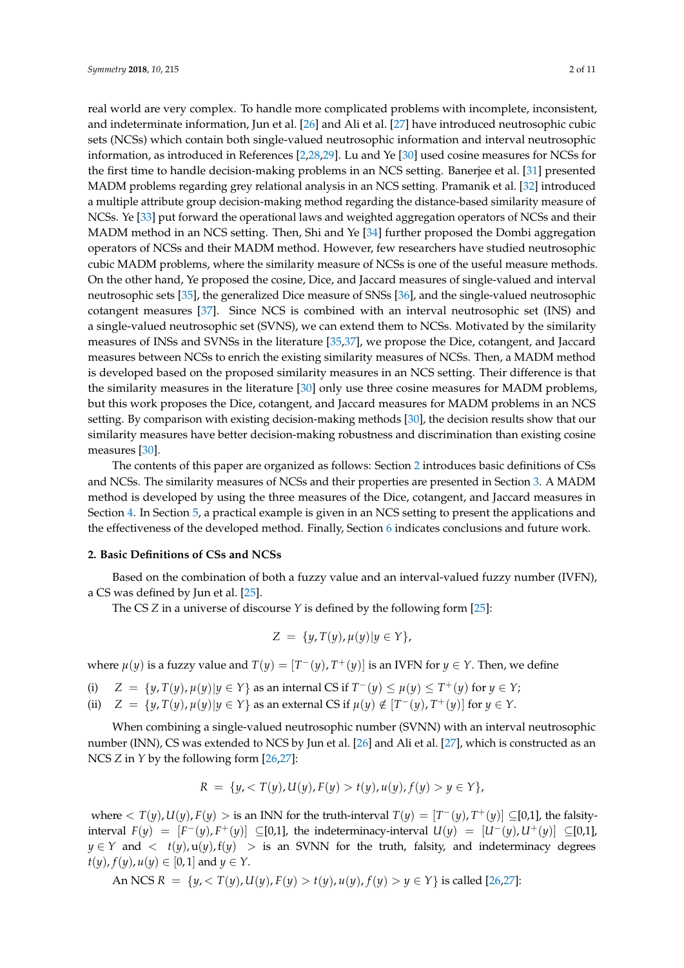real world are very complex. To handle more complicated problems with incomplete, inconsistent, and indeterminate information, Jun et al. [\[26\]](#page-10-5) and Ali et al. [\[27\]](#page-10-6) have introduced neutrosophic cubic sets (NCSs) which contain both single-valued neutrosophic information and interval neutrosophic information, as introduced in References [\[2,](#page-9-1)[28,](#page-10-7)[29\]](#page-10-8). Lu and Ye [\[30\]](#page-10-9) used cosine measures for NCSs for the first time to handle decision-making problems in an NCS setting. Banerjee et al. [\[31\]](#page-10-10) presented MADM problems regarding grey relational analysis in an NCS setting. Pramanik et al. [\[32\]](#page-10-11) introduced a multiple attribute group decision-making method regarding the distance-based similarity measure of NCSs. Ye [\[33\]](#page-10-12) put forward the operational laws and weighted aggregation operators of NCSs and their MADM method in an NCS setting. Then, Shi and Ye [\[34\]](#page-10-13) further proposed the Dombi aggregation operators of NCSs and their MADM method. However, few researchers have studied neutrosophic cubic MADM problems, where the similarity measure of NCSs is one of the useful measure methods. On the other hand, Ye proposed the cosine, Dice, and Jaccard measures of single-valued and interval neutrosophic sets [\[35\]](#page-10-14), the generalized Dice measure of SNSs [\[36\]](#page-10-15), and the single-valued neutrosophic cotangent measures [\[37\]](#page-10-16). Since NCS is combined with an interval neutrosophic set (INS) and a single-valued neutrosophic set (SVNS), we can extend them to NCSs. Motivated by the similarity measures of INSs and SVNSs in the literature [\[35](#page-10-14)[,37\]](#page-10-16), we propose the Dice, cotangent, and Jaccard measures between NCSs to enrich the existing similarity measures of NCSs. Then, a MADM method is developed based on the proposed similarity measures in an NCS setting. Their difference is that the similarity measures in the literature [\[30\]](#page-10-9) only use three cosine measures for MADM problems, but this work proposes the Dice, cotangent, and Jaccard measures for MADM problems in an NCS setting. By comparison with existing decision-making methods [\[30\]](#page-10-9), the decision results show that our similarity measures have better decision-making robustness and discrimination than existing cosine measures [\[30\]](#page-10-9).

The contents of this paper are organized as follows: Section [2](#page-1-0) introduces basic definitions of CSs and NCSs. The similarity measures of NCSs and their properties are presented in Section [3.](#page-2-0) A MADM method is developed by using the three measures of the Dice, cotangent, and Jaccard measures in Section [4.](#page-6-0) In Section [5,](#page-6-1) a practical example is given in an NCS setting to present the applications and the effectiveness of the developed method. Finally, Section [6](#page-9-11) indicates conclusions and future work.

# <span id="page-1-0"></span>**2. Basic Definitions of CSs and NCSs**

Based on the combination of both a fuzzy value and an interval-valued fuzzy number (IVFN), a CS was defined by Jun et al. [\[25\]](#page-10-4).

The CS *Z* in a universe of discourse *Y* is defined by the following form [\[25\]](#page-10-4):

$$
Z = \{y, T(y), \mu(y) | y \in Y\},\
$$

where  $\mu(y)$  is a fuzzy value and  $T(y) = [T^-(y), T^+(y)]$  is an IVFN for  $y \in Y$ . Then, we define

- (i)  $Z = \{y, T(y), \mu(y) | y \in Y\}$  as an internal CS if  $T^-(y) \le \mu(y) \le T^+(y)$  for  $y \in Y$ ;
- (ii)  $Z = \{y, T(y), \mu(y) | y \in Y\}$  as an external CS if  $\mu(y) \notin [T^-(y), T^+(y)]$  for  $y \in Y$ .

When combining a single-valued neutrosophic number (SVNN) with an interval neutrosophic number (INN), CS was extended to NCS by Jun et al. [\[26\]](#page-10-5) and Ali et al. [\[27\]](#page-10-6), which is constructed as an NCS *Z* in *Y* by the following form [\[26](#page-10-5)[,27\]](#page-10-6):

$$
R = \{y, < T(y), \mathcal{U}(y), F(y) > t(y), \mathcal{u}(y), f(y) > y \in Y\},
$$

where  $\langle T(y), U(y), F(y) \rangle$  is an INN for the truth-interval  $T(y) = [T^-(y), T^+(y)] \subseteq [0,1]$ , the falsityinterval  $F(y) = [F^-(y), F^+(y)]$  ⊆[0,1], the indeterminacy-interval  $U(y) = [U^-(y), U^+(y)]$  ⊆[0,1],  $y \in Y$  and  $\langle t(y), u(y), f(y) \rangle$  is an SVNN for the truth, falsity, and indeterminacy degrees *t*(*y*), *f*(*y*), *u*(*y*)  $\in$  [0, 1] and *y*  $\in$  *Y*.

An NCS 
$$
R = \{y, < T(y), u(y), F(y) > t(y), u(y), f(y) > y \in Y\}
$$
 is called [26,27]: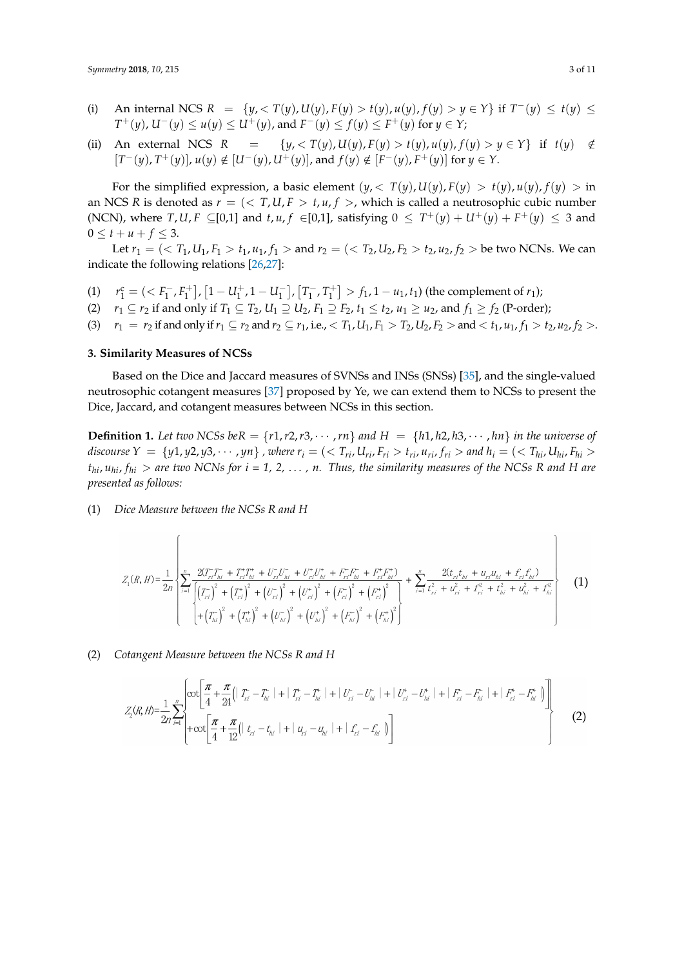- (i) An internal NCS  $R = \{y, \langle T(y), U(y), F(y) \rangle : t(y), u(y), f(y) > y \in Y\}$  if  $T^-(y) \le t(y) \le$ *T*<sup>+</sup>(*y*), *U*<sup>−</sup>(*y*) ≤ *u*(*y*) ≤ *U*<sup>+</sup>(*y*), and *F*<sup>−</sup>(*y*) ≤ *f*(*y*) ≤ *F*<sup>+</sup>(*y*) for *y* ∈ *Y*;
- (ii) An external NCS  $R = \{y, \langle T(y), U(y), F(y) > t(y), u(y), f(y) > y \in Y\}$  if  $t(y) \notin$  $[T^-(y), T^+(y)]$ ,  $u(y) \notin [U^-(y), U^+(y)]$ , and  $f(y) \notin [F^-(y), F^+(y)]$  for  $y \in Y$ .

For the simplified expression, a basic element  $(y, \langle T(y), U(y), F(y) \rangle = t(y), u(y), f(y) > \text{in}$ an NCS *R* is denoted as  $r = \langle \langle T, U, F \rangle, t, u, f \rangle$ , which is called a neutrosophic cubic number (NCN), where  $T, U, F \subseteq [0,1]$  and  $t, u, f \in [0,1]$ , satisfying  $0 \leq T^+(y) + U^+(y) + F^+(y) \leq 3$  and  $0 \leq t + u + f \leq 3.$ 

Let  $r_1 = \left( \langle T_1, U_1, F_1 \rangle \leq t_1, u_1, f_1 \rangle \leq \text{and } r_2 = \left( \langle T_2, U_2, F_2 \rangle \leq t_2, u_2, f_2 \rangle \leq \text{be two NCNs. We can}$ indicate the following relations [\[26](#page-10-5)[,27\]](#page-10-6):

- (1)  $r_1^c = \left( \langle F_1^- \rangle \right)$  $\left[1 - U_1^+, 1 - U_1^-\right]$  $\begin{bmatrix} 1 \\ 1 \end{bmatrix}$ ,  $\begin{bmatrix} T_1^{-1} \\ T_2^{-1} \end{bmatrix}$  $\left[T_{1}^{+}, T_{1}^{+}\right] > f_{1}$ , 1 – *u*<sub>1</sub>, *t*<sub>1</sub>) (the complement of *r*<sub>1</sub>);
- (2)  $r_1 \subseteq r_2$  if and only if  $T_1 \subseteq T_2$ ,  $U_1 \supseteq U_2$ ,  $F_1 \supseteq F_2$ ,  $t_1 \leq t_2$ ,  $u_1 \geq u_2$ , and  $f_1 \geq f_2$  (P-order);
- (3)  $r_1 = r_2$  if and only if  $r_1 \subseteq r_2$  and  $r_2 \subseteq r_1$ , i.e.,  $\langle T_1, U_1, F_1 \rangle T_2$ ,  $U_2, F_2 \rangle$  and  $\langle T_1, u_1, f_1 \rangle T_2$ ,  $u_2, f_2 \rangle$ .

# <span id="page-2-0"></span>**3. Similarity Measures of NCSs**

Based on the Dice and Jaccard measures of SVNSs and INSs (SNSs) [\[35\]](#page-10-14), and the single-valued neutrosophic cotangent measures [\[37\]](#page-10-16) proposed by Ye, we can extend them to NCSs to present the Dice, Jaccard, and cotangent measures between NCSs in this section.

**Definition 1.** Let two NCSs beR =  $\{r1, r2, r3, \cdots, rn\}$  and  $H = \{h1, h2, h3, \cdots, hn\}$  in the universe of discourse  $Y = \{y1, y2, y3, \cdots, yn\}$ , where  $r_i = \langle \langle T_{ri}, U_{ri}, F_{ri} \rangle t_{ri}, u_{ri}, f_{ri} \rangle$  and  $h_i = \langle \langle T_{hi}, U_{hi}, F_{hi} \rangle t_{ni}$  $t_{hi}$ ,  $u_{hi}$ ,  $f_{hi}$  > are two NCNs for  $i = 1, 2, \ldots$ , n. Thus, the similarity measures of the NCSs R and H are *presented as follows:*

(1) *Dice Measure between the NCSs R and H*

$$
Z_{1}(R,H) = \frac{1}{2n} \left\{ \sum_{i=1}^{n} \frac{2(T_{ri}^{-}T_{hi}^{-} + T_{ri}^{+}T_{hi}^{+} + U_{ri}^{-}U_{hi}^{-} + U_{ri}^{+}U_{hi}^{+} + F_{ri}^{-}F_{hi}^{-} + F_{ri}^{+}F_{hi}^{+})}{\left[\left(T_{ri}^{-}\right)^{2} + \left(T_{ri}^{+}\right)^{2} + \left(U_{ri}^{-}\right)^{2} + \left(U_{ri}^{+}\right)^{2} + \left(F_{ri}^{-}\right)^{2} + \left(F_{ri}^{+}\right)^{2}\right]} + \sum_{i=1}^{n} \frac{2(t_{ri}t_{hi} + u_{ri}u_{hi} + f_{ri}f_{hi})}{t_{ri}^{2} + t_{ri}^{2} + t_{hi}^{2} + t_{hi}^{2}} \right\}
$$
(1)

(2) *Cotangent Measure between the NCSs R and H*

$$
Z_{2}(R,H) = \frac{1}{2n} \sum_{i=1}^{n} \left\{ \cot \left[ \frac{\pi}{4} + \frac{\pi}{24} \left( |T_{i} - T_{hi}| + |T_{i} - T_{hi}| + |U_{i} - U_{hi}| + |U_{i} - U_{hi}| + |F_{i} - F_{hi}| + |F_{i} - F_{hi}| + |F_{i} - F_{hi}| \right) \right] + \cot \left[ \frac{\pi}{4} + \frac{\pi}{12} \left( |t_{i} - t_{hi}| + |u_{i} - u_{hi}| + |f_{i} - f_{hi}| \right) \right] \right\}
$$
(2)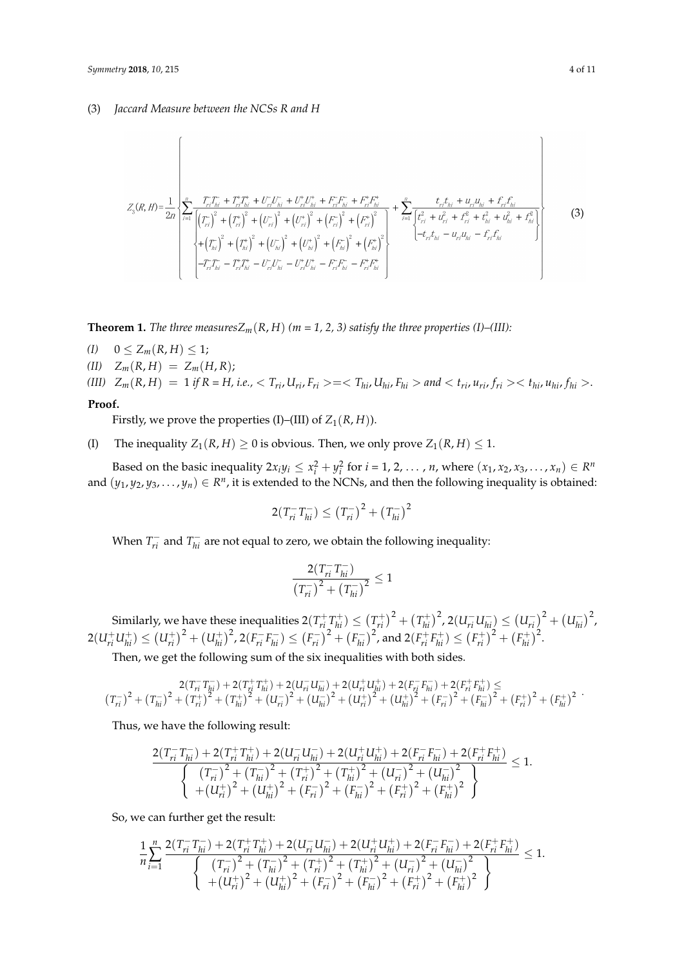# (3) *Jaccard Measure between the NCSs R and H*

 $\overline{1}$ 

$$
Z_{3}(R,H) = \frac{1}{2n} \left\{ \sum_{i=1}^{n} \frac{T_{i}T_{hi}^{+} + T_{i}^{+}T_{hi}^{+} + U_{ri}^{+}U_{hi}^{-} + U_{ri}^{+}U_{hi}^{+} + F_{ri}^{+}F_{hi}^{-} + F_{ri}^{+}F_{hi}^{+}}{\left[\left(T_{ri}^{+}\right)^{2} + \left(T_{ri}^{+}\right)^{2} + \left(U_{ri}^{-}\right)^{2} + \left(U_{ri}^{+}\right)^{2} + \left(F_{ri}^{+}\right)^{2} + \left(F_{ri}^{+}\right)^{2} + \left(F_{ri}^{+}\right)^{2}}\right] + \sum_{i=1}^{n} \frac{t_{ri}t_{hi} + u_{ri}u_{hi} + t_{ri}t_{hi}}{\left[t_{ri}^{2} + u_{ri}^{2} + t_{hi}^{2} + u_{hi}^{2} + t_{hi}^{2}\right]} \right\}
$$
(3)  

$$
+ \left(T_{hi}^{-}\right)^{2} + \left(T_{hi}^{+}\right)^{2} + \left(U_{hi}^{-}\right)^{2} + \left(U_{hi}^{+}\right)^{2} + \left(F_{hi}^{-}\right)^{2} + \left(F_{hi}^{+}\right)^{2}}\right\} + \left(-t_{ri}t_{hi} - u_{ri}u_{hi} - t_{ri}t_{hi}^{-} + t_{hi}^{2}
$$

**Theorem 1.** *The three measures* $Z_m(R, H)$  *(m = 1, 2, 3) satisfy the three properties (I)–(III):* 

- *(I)*  $0 \le Z_m(R,H) \le 1;$
- $(L1)$   $Z_m(R,H) = Z_m(H,R);$

(III) 
$$
Z_m(R, H) = 1
$$
 if  $R = H$ , i.e.,  $T_{ri}$ ,  $U_{ri}$ ,  $F_{ri} > = < T_{hi}$ ,  $U_{hi}$ ,  $F_{hi} > and < t_{ri}$ ,  $u_{ri}$ ,  $f_{ri} > < t_{hi}$ ,  $u_{hi}$ ,  $f_{hi} >$ .

### **Proof.**

Firstly, we prove the properties (I)–(III) of  $Z_1(R, H)$ ).

(I) The inequality  $Z_1(R, H) \geq 0$  is obvious. Then, we only prove  $Z_1(R, H) \leq 1$ .

Based on the basic inequality  $2x_iy_i \le x_i^2 + y_i^2$  for  $i = 1, 2, ..., n$ , where  $(x_1, x_2, x_3, ..., x_n) \in R^n$ and  $(y_1, y_2, y_3, \ldots, y_n) \in R^n$ , it is extended to the NCNs, and then the following inequality is obtained:

$$
2(T_{ri}^-T_{hi}^-) \le (T_{ri}^-)^2 + (T_{hi}^-)^2
$$

When  $T_{ni}^-$  and  $T_{hi}^-$  are not equal to zero, we obtain the following inequality:

$$
\frac{2(T_{ri}^- T_{hi}^-)}{(T_{ri}^-)^2 + (T_{hi}^-)^2} \le 1
$$

Similarly, we have these inequalities  $2(T_{ri}^+T_{hi}^+) \leq (T_{ri}^+)^2 + (T_{hi}^+)$  $\left(u_{hi}^+\right)^2$ , 2 $\left(U_{ri}^-\right)_{hi}^- \leq \left(U_{ri}^-\right)$  $\binom{(-)}{ri}^2 + (U_{hi}^-)$  $\binom{-}{hi}^2$ ,  $2(U_{ri}^+ U_{hi}^+) \leq (U_{ri}^+)^2 + (U_{hi}^+)$  $\left( F_{hi}^+ \right)^2$ , 2 $\left( F_{ri}^- F_{hi}^- \right) \leq \left( F_{ri}^- \right)$  $(r_{ni}^-)^2 + (F_{hi}^-)$  $\left(F_{hi}^+\right)^2$ , and  $2(F_{ri}^+ F_{hi}^+) \leq (F_{ri}^+)^2 + (F_{hi}^+ )$  $\binom{+}{hi}^2$ .

Then, we get the following sum of the six inequalities with both sides.

$$
\begin{array}{c} 2(T_{ri}^{-}T_{hi}^{-})+2(T_{ri}^{+}T_{hi}^{+})+2(U_{ri}^{-}U_{hi}^{-})+2(U_{ri}^{+}U_{hi}^{+})+2(F_{ri}^{-}F_{hi}^{-})+2(F_{ri}^{+}F_{hi}^{+})\leq \\ \left(T_{ri}^{-}\right)^{2}+\left(T_{hi}^{+}\right)^{2}+\left(T_{hi}^{+}\right)^{2}+\left(U_{ri}^{-}\right)^{2}+\left(U_{hi}^{-}\right)^{2}+\left(U_{ri}^{+}\right)^{2}+\left(U_{hi}^{+}\right)^{2}+\left(F_{ri}^{-}\right)^{2}+\left(F_{hi}^{-}\right)^{2}+\left(F_{hi}^{+}\right)^{2} \end{array}
$$

Thus, we have the following result:

$$
\frac{2(T_{ri}^-T_{hi}^-)+2(T_{ri}^+T_{hi}^+)+2(U_{ri}^-U_{hi}^-)+2(U_{ri}^+U_{hi}^+)+2(F_{ri}^-F_{hi}^-)+2(F_{ri}^+F_{hi}^+)}{\left\{\begin{array}{l} \left(T_{ri}^- \right)^2+\left(T_{hi}^- \right)^2+\left(T_{ri}^+ \right)^2+\left(T_{hi}^+ \right)^2+\left(U_{ri}^- \right)^2+\left(U_{hi}^- \right)^2 \\ +\left(U_{ri}^+ \right)^2+\left(U_{hi}^+ \right)^2+\left(F_{ri}^- \right)^2+\left(F_{hi}^- \right)^2+\left(F_{hi}^+ \right)^2+\left(F_{hi}^+ \right)^2 \end{array} \right\}} \leq 1.
$$

So, we can further get the result:

$$
\frac{1}{n}\sum_{i=1}^{n}\frac{2(T_{ri}^{-}T_{hi}^{-})+2(T_{ri}^{+}T_{hi}^{+})+2(U_{ri}^{-}U_{hi}^{-})+2(U_{ri}^{+}U_{hi}^{+})+2(F_{ri}^{-}F_{hi}^{-})+2(F_{ri}^{+}F_{hi}^{+})}{\left\{\n\begin{array}{l}\n(T_{ri}^{-})^{2}+(T_{hi}^{-})^{2}+(T_{ri}^{+})^{2}+(T_{hi}^{+})^{2}+(U_{ri}^{-})^{2}+(U_{hi}^{-})^{2} \\
+(U_{ri}^{+})^{2}+(U_{hi}^{+})^{2}+(F_{ri}^{-})^{2}+(F_{hi}^{-})^{2}+(F_{hi}^{+})^{2}\n\end{array}\n\right\}}\n\leq 1.
$$

.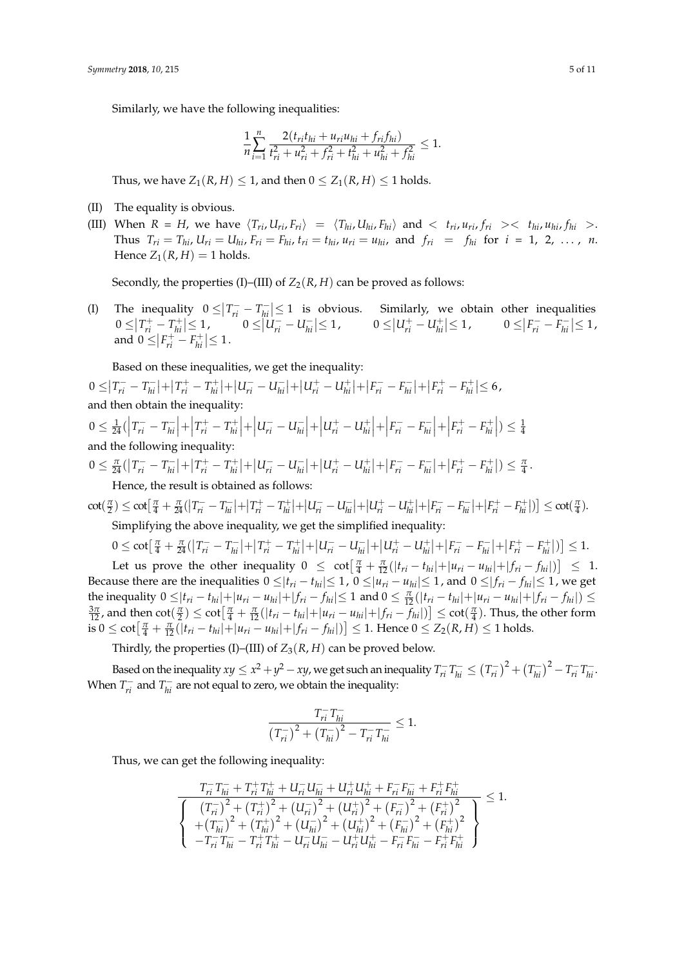Similarly, we have the following inequalities:

$$
\frac{1}{n}\sum_{i=1}^n \frac{2(t_{ri}t_{hi} + u_{ri}u_{hi} + f_{ri}f_{hi})}{t_{ri}^2 + u_{ri}^2 + f_{ri}^2 + t_{hi}^2 + u_{hi}^2 + f_{hi}^2} \le 1.
$$

Thus, we have  $Z_1(R, H) \leq 1$ , and then  $0 \leq Z_1(R, H) \leq 1$  holds.

- (II) The equality is obvious.
- (III) When  $R = H$ , we have  $\langle T_{ri}, U_{ri}, F_{ri} \rangle = \langle T_{hi}, U_{hi}, F_{hi} \rangle$  and  $\langle T_{ri}, u_{ri}, f_{ri} \rangle \langle T_{hi}, u_{hi}, f_{hi} \rangle$ . Thus  $T_{ri} = T_{hi}$ ,  $U_{ri} = U_{hi}$ ,  $F_{ri} = F_{hi}$ ,  $t_{ri} = t_{hi}$ ,  $u_{ri} = u_{hi}$ , and  $f_{ri} = f_{hi}$  for  $i = 1, 2, ..., n$ . Hence  $Z_1(R,H) = 1$  holds.

Secondly, the properties (I)–(III) of  $Z_2(R, H)$  can be proved as follows:

(I) The inequality  $0 \leq |T_{ri}^- - T_{hi}^-|$  $\left|\frac{m}{h_i}\right| \leq 1$  is obvious. Similarly, we obtain other inequalities  $0 \leq |T_{ri}^+ - T_{hi}^+|$  $|u_{hi}^+| \leq 1,$  0 ≤  $|U_{ri}^- - U_{hi}^-|$  $|U_{hi}^-| \le 1$ ,  $0 \le |U_{ri}^+ - U_{hi}^+|$  $|f_{hi}^+| \leq 1,$   $0 \leq |F_{ri}^- - F_{hi}^-|$  $\sum_{hi} \leq 1$ , and  $0 \leq |F_{ri}^+ - F_{hi}^+|$  $\vert h_{hi}^{+} \vert \leq 1$ .

Based on these inequalities, we get the inequality:

 $0 \leq |T_{ri}^- - T_{hi}^-|$  $\left| T_{hi}^+ \right| + \left| T_{ri}^+ - T_{hi}^+ \right|$  $|u_{hi}^+| + |U_{ri}^- - U_{hi}^-|$  $|u_{ni}^-| + |U_{ri}^+ - U_{hi}^+|$  $|F_{ni}^-| + |F_{ri}^- - F_{hi}^-|$  $F_{hi}^-$  +  $F_{ri}^+$  −  $F_{hi}^+$  $\vert h_i^+ \vert \leq 6$  , and then obtain the inequality:

$$
0 \le \frac{1}{24} (\left| T_{ri}^- - T_{hi}^- \right| + \left| T_{ri}^+ - T_{hi}^+ \right| + \left| U_{ri}^- - U_{hi}^- \right| + \left| U_{ri}^+ - U_{hi}^+ \right| + \left| F_{ri}^- - F_{hi}^- \right| + \left| F_{ri}^+ - F_{hi}^+ \right|) \le \frac{1}{4}
$$
  
and the following inequality:

 $0 \leq \frac{\pi}{24} (\left| T_{ri}^{-} - T_{hi}^{-} \right|)$  $\left| T_{hi}^+ \right| + \left| T_{ri}^+ - T_{hi}^+ \right|$  $|u_{hi}^+| + |U_{ri}^- - U_{hi}^-|$  $|u_{ni}^-| + |U_{ri}^+ - U_{hi}^+|$  $|F_{ni}^-| + |F_{ri}^- - F_{hi}^-|$  $F_{hi}^-$  +  $F_{ri}^+$  −  $F_{hi}^+$  $\left| \frac{n+1}{hi} \right|$ )  $\leq \frac{\pi}{4}$ . Hence, the result is obtained as follows:

 $\cot(\frac{\pi}{2}) \leq \cot[\frac{\pi}{4} + \frac{\pi}{24}(\left|T_{ri}^{-} - T_{hi}^{-}\right]$  $T_{hi}^{-}$  +  $T_{ri}^{+}$  –  $T_{hi}^{+}$  $|u_{hi}^+| + |U_{ri}^- - U_{hi}^-|$  $|U_{ni}^+|+|U_{ri}^+-U_{hi}^+|$  $F_{hi}^+$   $\Big| + \Big| F_{ri}^- - F_{hi}^ F_{hi}^-$  +  $F_{ri}^+$  −  $F_{hi}^+$  $\left[\min_{hi}^{n+1}\right] \leq \cot(\frac{\pi}{4}).$ Simplifying the above inequality, we get the simplified inequality:

$$
0 \le \cot\left[\frac{\pi}{4} + \frac{\pi}{24}\left(\left|T_{ri}^- - T_{hi}^-\right| + \left|T_{ri}^+ - T_{hi}^+\right| + \left|U_{ri}^- - U_{hi}^-\right| + \left|U_{ri}^+ - U_{hi}^+\right| + \left|F_{ri}^- - F_{hi}^-\right| + \left|F_{ri}^+ - F_{hi}^+\right|\right)\right] \le 1.
$$

Let us prove the other inequality  $0 \leq \cot \left[\frac{\pi}{4} + \frac{\pi}{12}(|t_{ri} - t_{hi}| + |u_{ri} - u_{hi}| + |f_{ri} - f_{hi}|)\right] \leq 1$ . Because there are the inequalities  $0 \le |t_{ri} - t_{hi}| \le 1$ ,  $0 \le |u_{ri} - u_{hi}| \le 1$ , and  $0 \le |f_{ri} - f_{hi}| \le 1$ , we get the inequality  $0 \le |t_{ri} - t_{hi}| + |u_{ri} - u_{hi}| + |f_{ri} - f_{hi}| \le 1$  and  $0 \le \frac{\pi}{12}(|t_{ri} - t_{hi}| + |u_{ri} - u_{hi}| + |f_{ri} - f_{hi}|) \le$  $\frac{3\pi}{12}$ , and then  $\cot(\frac{\pi}{2}) \leq \cot[\frac{\pi}{4} + \frac{\pi}{12}(|t_{ri} - t_{hi}| + |u_{ri} - u_{hi}| + |f_{ri} - f_{hi}|)] \leq \cot(\frac{\pi}{4})$ . Thus, the other form  $\frac{1}{4}$  is  $0 \le \cot\left[\frac{\pi}{4} + \frac{\pi}{12}(|t_{ri} - t_{hi}| + |u_{ri} - u_{hi}| + |f_{ri} - f_{hi}|)\right] \le 1$ . Hence  $0 \le Z_2(R, H) \le 1$  holds.

Thirdly, the properties (I)–(III) of  $Z_3(R, H)$  can be proved below.

Based on the inequality  $xy \leq x^2 + y^2 - xy$ , we get such an inequality  $T_{ri}^- T_{hi}^- \leq (T_{ri}^-)$  $\left(T_{hi}^{-}\right)^2 + \left(T_{hi}^{-}\right)$  $\left(\frac{r}{hi}\right)^2 - T_{ri}^- T_{hi}^-$ . When  $T_{ni}^-$  and  $T_{hi}^-$  are not equal to zero, we obtain the inequality:

$$
\frac{T_{ri}^- T_{hi}^-}{\left(T_{ri}^-\right)^2 + \left(T_{hi}^-\right)^2 - T_{ri}^- T_{hi}^-} \le 1.
$$

Thus, we can get the following inequality:

$$
\frac{T_{ri}^{-}T_{hi}^{-}+T_{ri}^{+}T_{hi}^{+}+U_{ri}^{-}U_{hi}^{-}+U_{ri}^{+}U_{hi}^{+}+F_{ri}^{-}F_{hi}^{-}+F_{ri}^{+}F_{hi}^{+}}{\left\{\begin{array}{l} \left(T_{ri}^{-}\right)^{2}+\left(T_{ri}^{+}\right)^{2}+\left(U_{ri}^{-}\right)^{2}+\left(U_{ri}^{+}\right)^{2}+\left(F_{ri}^{-}\right)^{2}+\left(F_{ri}^{+}\right)^{2}\\ +\left(T_{hi}^{-}\right)^{2}+\left(T_{hi}^{+}\right)^{2}+\left(U_{hi}^{-}\right)^{2}+\left(U_{hi}^{+}\right)^{2}+\left(F_{hi}^{-}\right)^{2}+\left(F_{hi}^{+}\right)^{2}}{\displaystyle -T_{ri}^{-}T_{hi}^{-}-T_{ri}^{+}T_{hi}^{+}-U_{ri}^{-}U_{hi}^{-}-U_{ri}^{+}U_{hi}^{+}-F_{ri}^{-}F_{hi}^{-}-F_{ri}^{+}F_{hi}^{+}}\end{array}\right\}}\leq1.
$$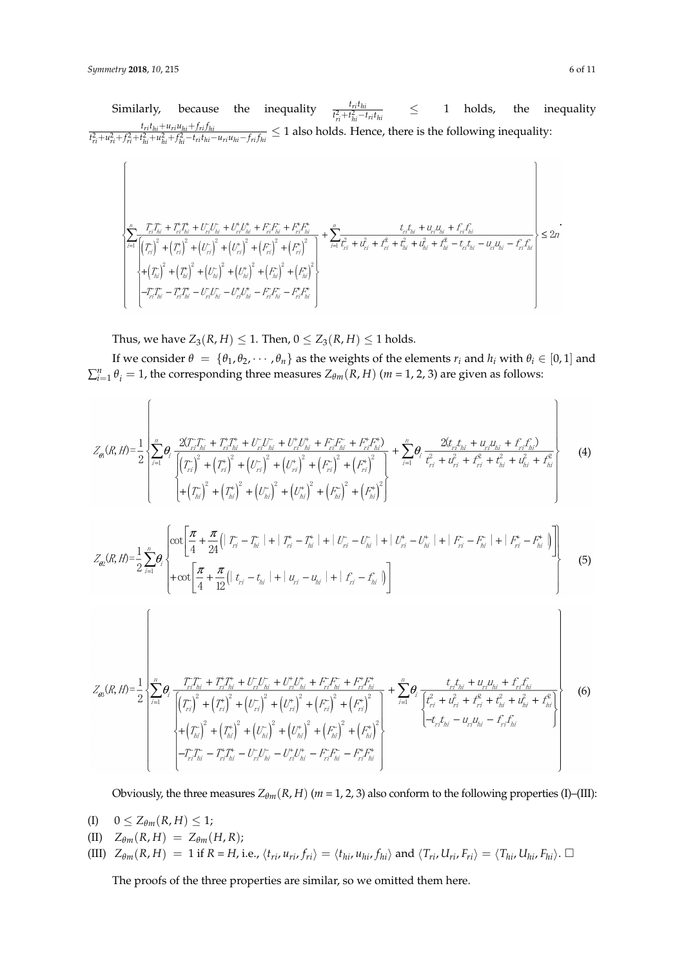$$
\left\{\begin{array}{l} \left|\sum_{i=1}^{n}\frac{T_{i1}T_{hi}^*+T_{ri}^*T_{hi}^*+U_{ri}^*U_{hi}^*+U_{ri}^*U_{hi}^*+F_{ri}^*F_{hi}^*+F_{ri}^*F_{hi}^*}{\left|\left(T_{ii}^*\right)^2+\left(T_{ri}^*\right)^2+\left(U_{ri}^*\right)^2+\left(U_{ri}^*\right)^2+\left(F_{ri}^*\right)^2+\left(F_{ri}^*\right)^2\right|^2\right|}+\sum_{i=1}^{n}\frac{t_{ri}t_{hi}+u_{ri}u_{hi}+f_{ri}^*f_{hi}}{t_{ri}^2+t_{hi}^2+t_{hi}^2+t_{ri}^*u_{hi}-t_{ri}t_{hi}-t_{ri}t_{hi}}-t_{ri}^*t_{hi}^2\leq 2n\left(\frac{t_{hi}^*+t_{hi}^*+t_{hi}^*+t_{hi}^*+t_{hi}^*+t_{hi}^*+t_{hi}^*+t_{hi}^*+t_{hi}^*+t_{hi}^*+t_{hi}^*+t_{hi}^*+t_{hi}^*+t_{hi}^*t_{hi}-t_{ri}t_{hi}^*}{t_{hi}^2+t_{hi}^2+t_{hi}^*-t_{hi}^*t_{hi}-t_{ri}^*t_{hi}-t_{ri}^*t_{hi}^*+t_{hi}^*t_{hi}^*}\right\}\leq 2n\left(\frac{t_{hi}^*+t_{hi}^*+t_{hi}^*+t_{hi}^*+t_{hi}^*+t_{hi}^*+t_{hi}^*+t_{hi}^*+t_{hi}^*+t_{hi}^*+t_{hi}^*+t_{hi}^*+t_{hi}^*+t_{hi}^*+t_{hi}^*+t_{hi}^*+t_{hi}^*+t_{hi}^*+t_{hi}^*+t_{hi}^*t_{hi}^*+t_{hi}^*t_{hi}^*+t_{hi}^*t_{hi}^*+t_{hi}^*t_{hi}^*+t_{hi}^*t_{hi}^*+t_{hi}^*t_{hi}^*+t_{hi}^*t_{hi}^*+t_{hi}^*t_{hi}^*+t_{hi}^*t_{hi}^*+t_{hi}^*t_{hi}^*+t_{hi}^*t_{hi}^*+t_{hi}^*t_{hi
$$

Thus, we have  $Z_3(R, H) \leq 1$ . Then,  $0 \leq Z_3(R, H) \leq 1$  holds.

If we consider  $\theta = {\theta_1, \theta_2, \dots, \theta_n}$  as the weights of the elements  $r_i$  and  $h_i$  with  $\theta_i \in [0, 1]$  and  $\sum_{i=1}^{n} \theta_i = 1$ , the corresponding three measures  $Z_{\theta m}(R, H)$  (*m* = 1, 2, 3) are given as follows:

$$
Z_{\theta1}(R,H) = \frac{1}{2} \left\{ \sum_{i=1}^{n} \theta_{i} \frac{2(T_{i1}T_{hi} + T_{i1}^{+}T_{hi} + U_{i1}U_{hi} + U_{i1}^{+}U_{hi} + F_{i1}^{+}F_{hi} + F_{i1}^{+}F_{hi}^{+})}{\left[ \left(T_{ri}^{+}\right)^{2} + \left(T_{ri}^{+}\right)^{2} + \left(U_{ri}^{-}\right)^{2} + \left(U_{ri}^{+}\right)^{2} + \left(F_{ri}^{+}\right)^{2} + \left(F_{ri}^{+}\right)^{2} + \left(F_{ri}^{+}\right)^{2} \right]} + \sum_{i=1}^{n} \theta_{i} \frac{2\langle t_{i1}t_{hi} + u_{i1}u_{hi} + t_{i1}^{+}t_{hi}^{+} \rangle}{t_{i1}^{2} + t_{hi}^{2} + t_{hi}^{2} + t_{hi}^{2}} + \frac{1}{t_{hi}^{2}} \right\}
$$
(4)

$$
Z_{\theta2}(R,H) = \frac{1}{2} \sum_{i=1}^{n} \theta_i \left\{ \frac{\cot\left[\frac{\pi}{4} + \frac{\pi}{24} \left( |T_{ri} - T_{hi}| + |T_{ri} - T_{hi}| + |U_{ri} - U_{hi}| + |U_{ri}^+ - U_{hi}^+| + |F_{ri}^- - F_{hi}^-| + |F_{ri}^+ - F_{hi}^+| \right) \right]}{+\cot\left[\frac{\pi}{4} + \frac{\pi}{12} \left( |T_{ri} - T_{hi}| + |U_{ri} - U_{hi}| + |F_{ri} - F_{hi}| \right) \right]} \right\}
$$
(5)

$$
Z_{\theta\theta}(R,H) = \frac{1}{2} \left\{ \sum_{i=1}^{n} \theta_{i} \frac{T_{ri}^{-T_{hi}} + T_{ri}^{+} T_{hi}^{+} + U_{ri}^{-} U_{hi}^{-} + U_{ri}^{+} U_{hi}^{+} + F_{ri}^{-} F_{hi}^{-} + F_{ri}^{+} F_{hi}^{+}}{\left[ (T_{ri}^{-})^{2} + (T_{ri}^{+})^{2} + (U_{ri}^{-})^{2} + (U_{ri}^{+})^{2} + (F_{ri}^{-})^{2} + (F_{hi}^{+})^{2} \right]} + \sum_{i=1}^{n} \theta_{i} \frac{t_{ri} t_{hi} + u_{ri} u_{hi} + f_{ri}^{2} t_{hi}}{\left[ t_{ri}^{2} + u_{ri}^{2} + t_{hi}^{2} + t_{hi}^{2} + t_{hi}^{2} \right]} \right\}
$$
(6)  
+
$$
\left( -T_{ri}^{-}T_{hi}^{-} - T_{ri}^{+} T_{hi}^{+} - U_{ri}^{-} U_{hi}^{-} - U_{ri}^{+} U_{hi}^{+} - F_{ri}^{-} F_{hi}^{-} - F_{ri}^{+} F_{hi}^{+} \right\}
$$

Obviously, the three measures  $Z_{\theta m}(R, H)$  ( $m = 1, 2, 3$ ) also conform to the following properties (I)–(III):

- (I)  $0 \le Z_{\theta m}(R, H) \le 1;$
- $\langle \text{II} \rangle$   $Z_{\theta m}(R,H) = Z_{\theta m}(H,R);$

(III) 
$$
Z_{\theta m}(R, H) = 1
$$
 if  $R = H$ , i.e.,  $\langle t_{ri}, u_{ri}, f_{ri} \rangle = \langle t_{hi}, u_{hi}, f_{hi} \rangle$  and  $\langle T_{ri}, U_{ri}, F_{ri} \rangle = \langle T_{hi}, U_{hi}, F_{hi} \rangle$ .

The proofs of the three properties are similar, so we omitted them here.

 $\overline{ }$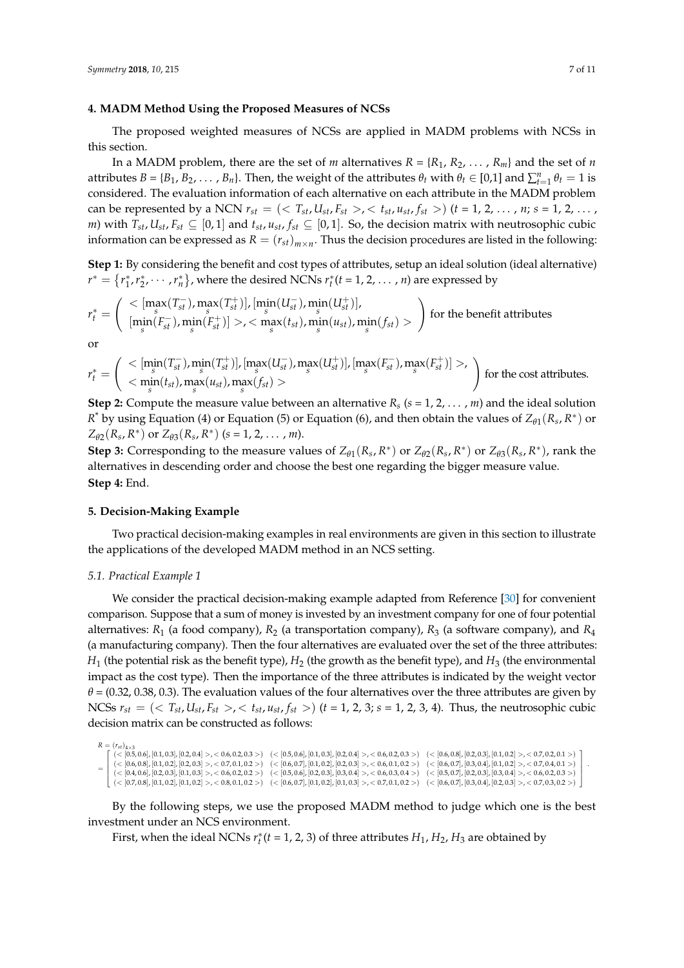### <span id="page-6-0"></span>**4. MADM Method Using the Proposed Measures of NCSs**

The proposed weighted measures of NCSs are applied in MADM problems with NCSs in this section.

In a MADM problem, there are the set of *m* alternatives  $R = \{R_1, R_2, \dots, R_m\}$  and the set of *n* attributes  $B = \{B_1, B_2, \dots, B_n\}$ . Then, the weight of the attributes  $\theta_t$  with  $\theta_t \in [0,1]$  and  $\sum_{t=1}^n \theta_t = 1$  is considered. The evaluation information of each alternative on each attribute in the MADM problem can be represented by a NCN  $r_{st} = (T_{st}, U_{st}, F_{st} >, < t_{st}, u_{st}, f_{st} >)$   $(t = 1, 2, ..., n; s = 1, 2, ...,$ *m*) with  $T_{st}$ ,  $U_{st}$ ,  $F_{st}$  ⊆ [0, 1] and  $t_{st}$ ,  $u_{st}$ ,  $f_{st}$  ⊆ [0, 1]. So, the decision matrix with neutrosophic cubic information can be expressed as  $R = (r_{st})_{m \times n}$ . Thus the decision procedures are listed in the following:

**Step 1:** By considering the benefit and cost types of attributes, setup an ideal solution (ideal alternative)  $r^* = \{r_1^*, r_2^*, \cdots, r_n^*\}$ , where the desired NCNs  $r_t^*(t = 1, 2, \ldots, n)$  are expressed by

$$
r_t^* = \left(\begin{array}{c} <[\max_s(T_{st}^-), \max_s(T_{st}^+)], [\min_s(U_{st}^-), \min_s(U_{st}^+)],\\ [\min_s(F_{st}^-), \min_s(F_{st}^+)]>, <\max_s(t_{st}), \min_s(u_{st}), \min_s(f_{st})> \end{array}\right)
$$
 for the benefit attributes

or

$$
r^*_t=\left(\begin{array}{c} <[\min_{s}(T_{st}^-),\min_{s}(T_{st}^+)],[\max_{s}(U_{st}^-),\max_{s}(U_{st}^+)],[\max_{s}(F_{st}^-),\max_{s}(F_{st}^+)]>,\\ <\min_{s}(t_{st}),\max_{s}(u_{st}),\max_{s}(f_{st})> \end{array}\right) \text{ for the cost attributes.}
$$

**Step 2:** Compute the measure value between an alternative  $R_s$  ( $s = 1, 2, ..., m$ ) and the ideal solution *R*<sup>\*</sup> by using Equation (4) or Equation (5) or Equation (6), and then obtain the values of  $Z_{\theta1}(R_s, R^*)$  or  $Z_{\theta 2}(R_s, R^*)$  or  $Z_{\theta 3}(R_s, R^*)$  (*s* = 1, 2, . . . , *m*).

**Step 3:** Corresponding to the measure values of  $Z_{\theta1}(R_s, R^*)$  or  $Z_{\theta2}(R_s, R^*)$  or  $Z_{\theta3}(R_s, R^*)$ , rank the alternatives in descending order and choose the best one regarding the bigger measure value. **Step 4:** End.

# <span id="page-6-1"></span>**5. Decision-Making Example**

Two practical decision-making examples in real environments are given in this section to illustrate the applications of the developed MADM method in an NCS setting.

#### *5.1. Practical Example 1*

We consider the practical decision-making example adapted from Reference [\[30\]](#page-10-9) for convenient comparison. Suppose that a sum of money is invested by an investment company for one of four potential alternatives: *R*<sup>1</sup> (a food company), *R*<sup>2</sup> (a transportation company), *R*<sup>3</sup> (a software company), and *R*<sup>4</sup> (a manufacturing company). Then the four alternatives are evaluated over the set of the three attributes: *H*<sub>1</sub> (the potential risk as the benefit type), *H*<sub>2</sub> (the growth as the benefit type), and *H*<sub>3</sub> (the environmental impact as the cost type). Then the importance of the three attributes is indicated by the weight vector  $\theta$  = (0.32, 0.38, 0.3). The evaluation values of the four alternatives over the three attributes are given by NCSs  $r_{st} = (2r_{st}, U_{st}, F_{st} > 0, 1/r_{st} > 0)$  (*t* = 1, 2, 3; *s* = 1, 2, 3, 4). Thus, the neutrosophic cubic decision matrix can be constructed as follows:

```
R = (r_{st})_{4\times3}=
    \left[ \begin{array}{l} \langle \leq 0.5, 0.4 \rangle \leq 0.3 \end{array} \right], [0.1, 0.3], [0.2, 0.4] >, \lt 0.6, 0.2, 0.3 > \left[ \begin{array}{l} \langle \leq 0.5, 0.6 \rangle \end{array}, [0.1, 0.3], [0.2, 0.4] >, \lt 0.6, 0.2, 0.3 > \left[ \begin{array}{l} \langle \leq 0.6, 0.8 \rangle \end{array} \right], [0.2

(< [0.6, 0.8], [0.1, 0.2], [0.2, 0.3] >, < 0.7, 0.1, 0.2 >) (< [0.6, 0.7], [0.1, 0.2], [0.2, 0.3] >, < 0.6, 0.1, 0.2 >) (< [0.6, 0.7], [0.3, 0.4], [0.1, 0.2] >, < 0.7, 0.4, 0.1 >)
    \left\{ \begin{array}{l} (1,0,0,0) \in (0.7,0.8], [0.1,0.2] \times (0.8,0.1,0.2) \times (0.8,0.1,0.2) \times (0.8,0.1,0.2) \times (0.8,0.1,0.2) \times (0.8,0.1,0.2) \times (0.8,0.1,0.2) \times (0.8,0.1,0.2) \times (0.8,0.1,0.2) \times (0.8,0.1,0.2) \times (0.8,0.1,0.2) \times (0.8,0.1,0.2) \times (0.8,0.1,0.2)(< [0.4, 0.6], [0.2, 0.3], [0.1, 0.3] > , < 0.6, 0.2, 0.2 >) (< [0.5, 0.6], [0.2, 0.3], [0.3, 0.4] > , < 0.6, 0.3, 0.4 >) (< [0.5, 0.7], [0.2, 0.3], [0.3, 0.4] > , < 0.6, 0.2, 0.3 >)L
                                                                                                                                                                                                                                                                    \mathbf{L}\vdash\mathbf{I}\mathbf{L}.
```
By the following steps, we use the proposed MADM method to judge which one is the best investment under an NCS environment.

First, when the ideal NCNs  $r_t^*(t = 1, 2, 3)$  of three attributes  $H_1$ ,  $H_2$ ,  $H_3$  are obtained by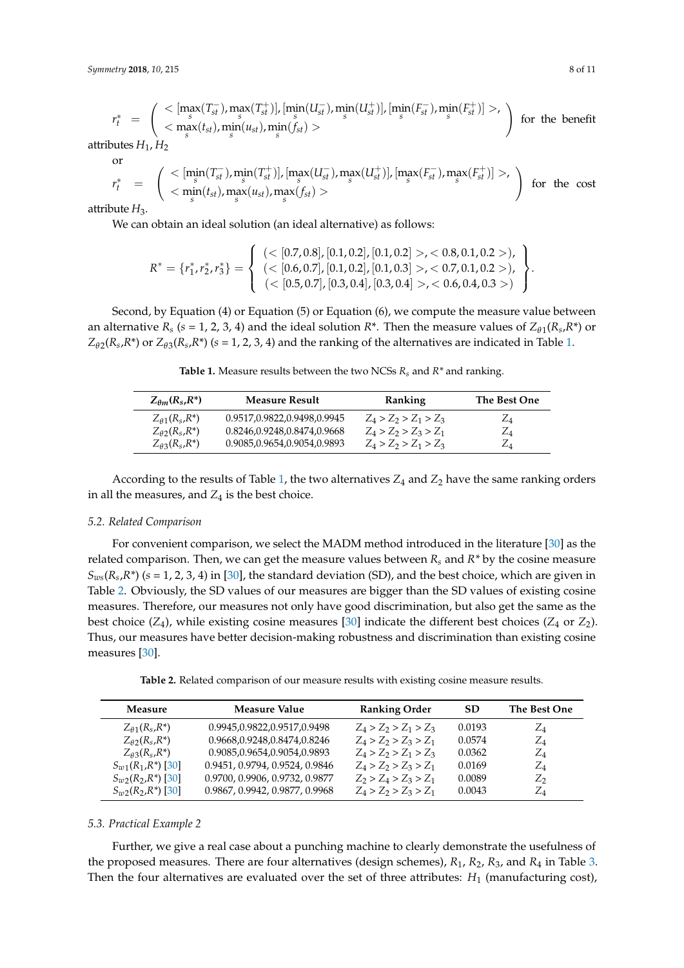$$
r_t^* = \left( \begin{array}{c} \langle \left[\max_s(T_{st}^-),\max_s(T_{st}^+) \right], \left[\min_s(U_{st}^-),\min_s(U_{st}^+) \right], \left[\min_s(F_{st}^-),\min_s(F_{st}^+) \right] \rangle, \\ \langle \left[\max_s(t_{st}),\min_s(u_{st}),\min_s(f_{st}) \right] \rangle \end{array} \right) \text{ for the benefit attributes } H_1, H_2
$$

or

$$
r_t^* = \left(\begin{array}{cc} <[\min_s(T_{st}^-),\min_s(T_{st}^+)], [\max_s(U_{st}^-),\max_s(U_{st}^+)], [\max_s(F_{st}^-),\max_s(F_{st}^+)]>, \\ <\min_s(u_{st}), \max_s(u_{st}), \max_s(f_{st})> \end{array}\right) \text{ for the cost}
$$

attribute  $H_3$ .

We can obtain an ideal solution (an ideal alternative) as follows:

$$
R^* = \{r_1^*, r_2^*, r_3^*\} = \left\{\begin{array}{l}(<[0.7, 0.8], [0.1, 0.2], [0.1, 0.2]>, <0.8, 0.1, 0.2>),\\ (<[0.6, 0.7], [0.1, 0.2], [0.1, 0.3]>, <0.7, 0.1, 0.2>),\\ (<[0.5, 0.7], [0.3, 0.4], [0.3, 0.4]>, <0.6, 0.4, 0.3>)\end{array}\right\}.
$$

<span id="page-7-0"></span>Second, by Equation (4) or Equation (5) or Equation (6), we compute the measure value between an alternative  $R_s$  (*s* = 1, 2, 3, 4) and the ideal solution  $R^*$ . Then the measure values of  $Z_{\theta 1}(R_s, R^*)$  or  $Z_{\theta 2}(R_s, R^*)$  or  $Z_{\theta 3}(R_s, R^*)$  (*s* = 1, 2, 3, 4) and the ranking of the alternatives are indicated in Table [1.](#page-7-0)

**Table 1.** Measure results between the two NCSs *Rs* and *R\** and ranking.

| $Z_{\theta m}(R_s, R^*)$                        | <b>Measure Result</b>       | Ranking                 | The Best One    |
|-------------------------------------------------|-----------------------------|-------------------------|-----------------|
| $Z_{\theta}$ 1(R <sub>s</sub> ,R <sup>*</sup> ) | 0.9517,0.9822,0.9498,0.9945 | $Z_4 > Z_2 > Z_1 > Z_3$ | $\mathcal{L}_4$ |
| $Z_{\theta2}(R_s, R^*)$                         | 0.8246,0.9248,0.8474,0.9668 | $Z_4 > Z_2 > Z_3 > Z_1$ | $Z_4$           |
| $Z_{\theta}$ 3(R <sub>s</sub> ,R <sup>*</sup> ) | 0.9085,0.9654,0.9054,0.9893 | $Z_4 > Z_2 > Z_1 > Z_3$ | $Z_4$           |

According to the results of Table [1,](#page-7-0) the two alternatives  $Z_4$  and  $Z_2$  have the same ranking orders in all the measures, and  $Z_4$  is the best choice.

#### *5.2. Related Comparison*

For convenient comparison, we select the MADM method introduced in the literature [\[30\]](#page-10-9) as the related comparison. Then, we can get the measure values between  $R_s$  and  $R^*$  by the cosine measure *Sws*(*R<sup>s</sup>* ,*R\**) (*s* = 1, 2, 3, 4) in [\[30\]](#page-10-9), the standard deviation (SD), and the best choice, which are given in Table [2.](#page-7-1) Obviously, the SD values of our measures are bigger than the SD values of existing cosine measures. Therefore, our measures not only have good discrimination, but also get the same as the best choice  $(Z_4)$ , while existing cosine measures [\[30\]](#page-10-9) indicate the different best choices  $(Z_4 \text{ or } Z_2)$ . Thus, our measures have better decision-making robustness and discrimination than existing cosine measures [\[30\]](#page-10-9).

**Table 2.** Related comparison of our measure results with existing cosine measure results.

<span id="page-7-1"></span>

| Measure                                         | <b>Measure Value</b>           | <b>Ranking Order</b>    | <b>SD</b> | The Best One |
|-------------------------------------------------|--------------------------------|-------------------------|-----------|--------------|
| $Z_{\theta}$ 1(R <sub>s</sub> ,R <sup>*</sup> ) | 0.9945,0.9822,0.9517,0.9498    | $Z_4 > Z_2 > Z_1 > Z_3$ | 0.0193    | $Z_4$        |
| $Z_{\theta2}(R_s, R^*)$                         | 0.9668,0.9248,0.8474,0.8246    | $Z_4 > Z_2 > Z_3 > Z_1$ | 0.0574    | $Z_4$        |
| $Z_{\theta}$ 3( $R_s$ , $R^*$ )                 | 0.9085,0.9654,0.9054,0.9893    | $Z_4 > Z_2 > Z_1 > Z_3$ | 0.0362    | $Z_4$        |
| $S_{w1}(R_1,R^*)$ [30]                          | 0.9451, 0.9794, 0.9524, 0.9846 | $Z_4 > Z_2 > Z_3 > Z_1$ | 0.0169    | $Z_4$        |
| $S_{uv2}(R_2,R^*)$ [30]                         | 0.9700, 0.9906, 0.9732, 0.9877 | $Z_2 > Z_4 > Z_3 > Z_1$ | 0.0089    | $Z_2$        |
| $S_{w2}(R_2,R^*)$ [30]                          | 0.9867, 0.9942, 0.9877, 0.9968 | $Z_4 > Z_2 > Z_3 > Z_1$ | 0.0043    | Z4           |

# *5.3. Practical Example 2*

Further, we give a real case about a punching machine to clearly demonstrate the usefulness of the proposed measures. There are four alternatives (design schemes), *R*1, *R*2, *R*3, and *R*<sup>4</sup> in Table [3.](#page-8-0) Then the four alternatives are evaluated over the set of three attributes:  $H_1$  (manufacturing cost),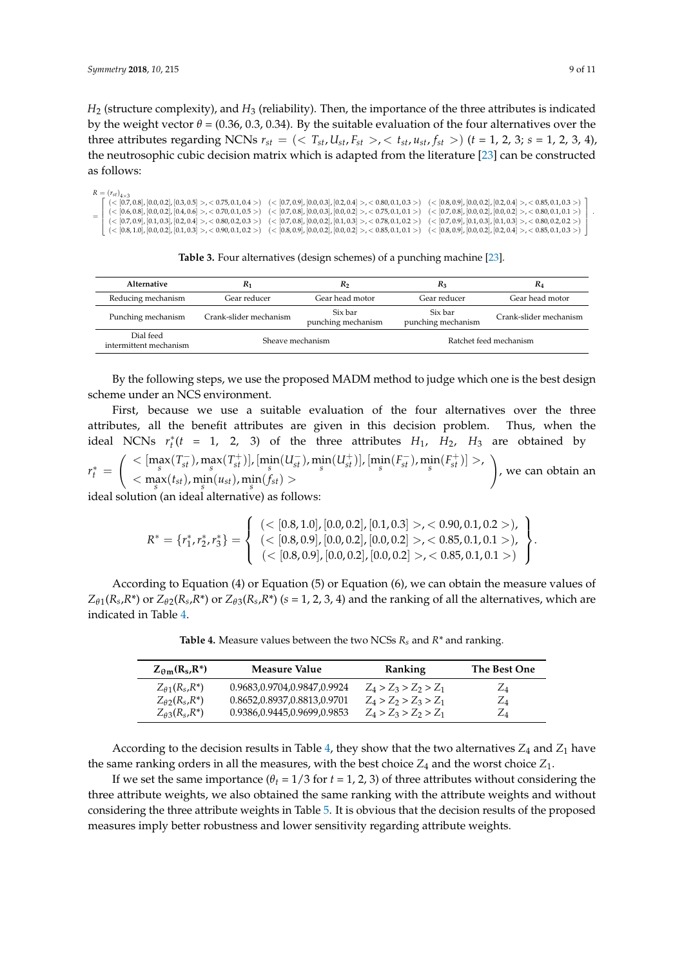*H*<sup>2</sup> (structure complexity), and *H*<sup>3</sup> (reliability). Then, the importance of the three attributes is indicated by the weight vector  $\theta$  = (0.36, 0.3, 0.34). By the suitable evaluation of the four alternatives over the three attributes regarding NCNs  $r_{st} = \left( \langle T_{st}, U_{st}, F_{st} \rangle, \langle t_{st}, u_{st}, f_{st} \rangle \right)$  ( $t = 1, 2, 3; s = 1, 2, 3, 4$ ), the neutrosophic cubic decision matrix which is adapted from the literature [\[23\]](#page-10-2) can be constructed as follows:

| $R = (r_{st})_{4 \times 3}$                                                                                                                                                                                                                                                                                                                                                                    |                                                                                                                                                                                                                                                                                                    |
|------------------------------------------------------------------------------------------------------------------------------------------------------------------------------------------------------------------------------------------------------------------------------------------------------------------------------------------------------------------------------------------------|----------------------------------------------------------------------------------------------------------------------------------------------------------------------------------------------------------------------------------------------------------------------------------------------------|
| $\left[ \begin{array}{cc} \langle <[0.7, 0.8], [0.0, 0.2], [0.3, 0.5] > \langle <[0.7, 0.1, 0.4> \rangle \end{array} \right] \times \left[ \begin{array}{cc} \langle 0.7, 0.9], [0.0, 0.3], [0.2, 0.4] > \langle <[0.8, 0.1, 0.3> \rangle \end{array} \right] \times \left[ \begin{array}{cc} \langle 0.8, 0.9], [0.0, 0.2], [0.0, 0.4] > \langle <[0.8, 0.4] > \langle <[0.8, 0.4] > \langle$ |                                                                                                                                                                                                                                                                                                    |
|                                                                                                                                                                                                                                                                                                                                                                                                | $\left\{ \begin{array}{l} \ (<[0.6,0.8]\ , [0.0,0.2]\ , [0.4,0.6] >\ ,\ <0.70, 0.1, 0.5> \end{array} \right\} \left.\ (<[0.7,0.8]\ , [0.0,0.3]\ , [0.0,0.2] >\ ,\ <0.75, 0.1, 0.1> \right\} \left.\ (<[0.7,0.8]\ , [0.0,0.2]\ , [0.0,0.2] >\ ,\ <0.80, 0.1, 0.1> \right\} \right.\nonumber$        |
|                                                                                                                                                                                                                                                                                                                                                                                                | $([0.7, 0.9], [0.1, 0.3], [0.2, 0.4] > , <0.80, 0.2, 0.3> ([0.7, 0.8], [0.0, 0.2], [0.1, 0.3] > , <0.78, 0.1, 0.2> ([0.7, 0.9], [0.1, 0.3], [0.1, 0.3] > , <0.80, 0.2, 0.2>$                                                                                                                       |
|                                                                                                                                                                                                                                                                                                                                                                                                | $\left( \begin{array}{cc} \langle \in [0.8,1.0], [0.0,0.2], [0.1,0.3] \end{array} \right)$ $>$ $\langle \in [0.9,0.9], [0.0,0.2], [0.0,0.2], [0.0,0.2] \end{array} \right)$ $\left( \leq [0.8,0.9], [0.0,0.2], [0.0,0.2], [0.2,0.4] \right)$ $\langle \in [0.8,0.9], [0.0,0.2], [0.2,0.4] \right)$ |

**Table 3.** Four alternatives (design schemes) of a punching machine [\[23\]](#page-10-2).

<span id="page-8-0"></span>

| Alternative                         | $R_1$                  | R <sub>2</sub>                | $R_3$                         | R4                     |
|-------------------------------------|------------------------|-------------------------------|-------------------------------|------------------------|
| Reducing mechanism                  | Gear reducer           | Gear head motor               | Gear reducer                  | Gear head motor        |
| Punching mechanism                  | Crank-slider mechanism | Six bar<br>punching mechanism | Six bar<br>punching mechanism | Crank-slider mechanism |
| Dial feed<br>intermittent mechanism | Sheave mechanism       |                               | Ratchet feed mechanism        |                        |

By the following steps, we use the proposed MADM method to judge which one is the best design scheme under an NCS environment.

First, because we use a suitable evaluation of the four alternatives over the three attributes, all the benefit attributes are given in this decision problem. Thus, when the ideal NCNs  $r_t^*(t = 1, 2, 3)$  of the three attributes  $H_1$ ,  $H_2$ ,  $H_3$  are obtained by

 $r_t^* =$  $\Big( \text{ } <[\max_{s}(T_{st}^-),\max_{s}(T_{st}^+)], [\min_{s}(U_{st}^-),\min_{s}(U_{st}^+)] , [\min_{s}(F_{st}^-),\min_{s}(F_{st}^+)]>,$  $<$  m<sub>s</sub>  $(x<sub>st</sub>)$ , m<sub>s</sub>  $(n<sub>st</sub>)$ , m<sub>s</sub>  $(n<sub>st</sub>)$  >  $\setminus$ , we can obtain an

ideal solution (an ideal alternative) as follows:

$$
R^* = \{r_1^*, r_2^*, r_3^*\} = \left\{\begin{array}{l}(<[0.8, 1.0], [0.0, 0.2], [0.1, 0.3]>, <0.90, 0.1, 0.2>),\\(<[0.8, 0.9], [0.0, 0.2], [0.0, 0.2]>, <0.85, 0.1, 0.1>),\\(<[0.8, 0.9], [0.0, 0.2], [0.0, 0.2]>, <0.85, 0.1, 0.1>)\end{array}\right\}
$$

<span id="page-8-1"></span>According to Equation (4) or Equation (5) or Equation (6), we can obtain the measure values of  $Z_{\theta1}(R_s, R^*)$  or  $Z_{\theta2}(R_s, R^*)$  or  $Z_{\theta3}(R_s, R^*)$  ( $s = 1, 2, 3, 4$ ) and the ranking of all the alternatives, which are indicated in Table [4.](#page-8-1)

**Table 4.** Measure values between the two NCSs *Rs* and *R\** and ranking.

| $Z_{\theta m}(R_s, R^*)$                        | Measure Value               | Ranking                 | The Best One |
|-------------------------------------------------|-----------------------------|-------------------------|--------------|
| $Z_{\theta}$ 1(R <sub>s</sub> ,R <sup>*</sup> ) | 0.9683,0.9704,0.9847,0.9924 | $Z_4 > Z_3 > Z_2 > Z_1$ | $Z_4$        |
| $Z_{\theta2}(R_s, R^*)$                         | 0.8652,0.8937,0.8813,0.9701 | $Z_4 > Z_2 > Z_3 > Z_1$ | $Z_4$        |
| $Z_{\theta}$ 3( $R_s$ , $R^*$ )                 | 0.9386,0.9445,0.9699,0.9853 | $Z_4 > Z_3 > Z_2 > Z_1$ | ZΔ           |

According to the decision results in Table [4,](#page-8-1) they show that the two alternatives  $Z_4$  and  $Z_1$  have the same ranking orders in all the measures, with the best choice  $Z_4$  and the worst choice  $Z_1$ .

If we set the same importance ( $\theta$ <sup>*t*</sup> = 1/3 for *t* = 1, 2, 3) of three attributes without considering the three attribute weights, we also obtained the same ranking with the attribute weights and without considering the three attribute weights in Table [5.](#page-9-12) It is obvious that the decision results of the proposed measures imply better robustness and lower sensitivity regarding attribute weights.

.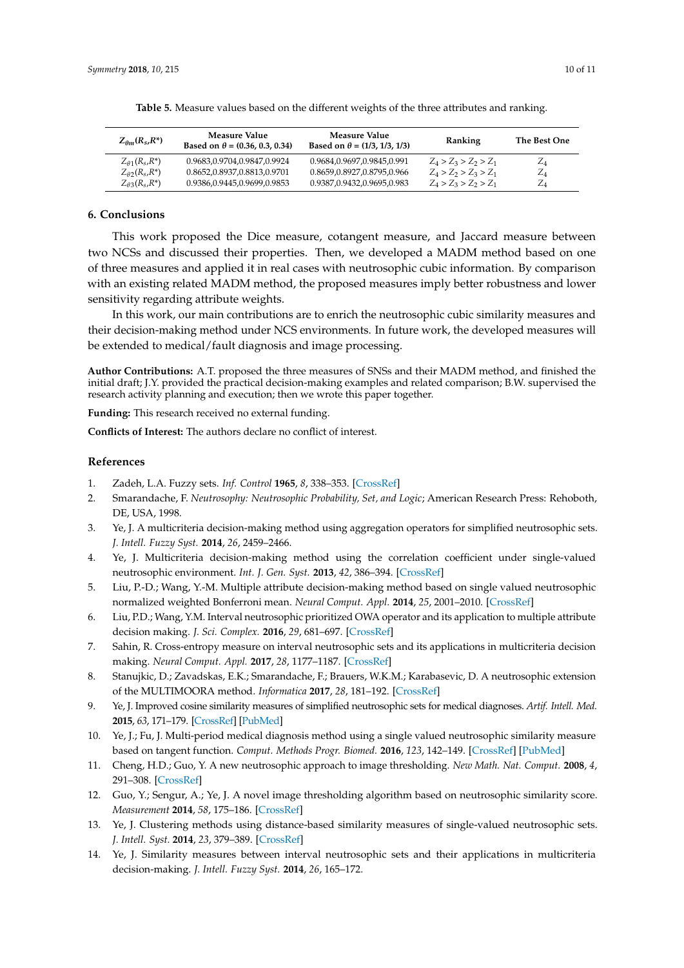<span id="page-9-12"></span>

| $Z_{\theta m}(R_s, R^*)$                        | Measure Value<br>Based on $\theta$ = (0.36, 0.3, 0.34) | Measure Value<br>Based on $\theta = (1/3, 1/3, 1/3)$ | Ranking                 | The Best One                  |
|-------------------------------------------------|--------------------------------------------------------|------------------------------------------------------|-------------------------|-------------------------------|
| $Z_{\theta 1}(R_s, R^*)$                        | 0.9683,0.9704,0.9847,0.9924                            | 0.9684,0.9697,0.9845,0.991                           | $Z_4 > Z_3 > Z_2 > Z_1$ | $Z_{4}$                       |
| $Z_{\theta2}(R_s, R^*)$                         | 0.8652,0.8937,0.8813,0.9701                            | 0.8659,0.8927,0.8795,0.966                           | $Z_4 > Z_2 > Z_3 > Z_1$ | $\mathcal{L}_\mathit{\Delta}$ |
| $Z_{\theta}$ 3(R <sub>s</sub> ,R <sup>*</sup> ) | 0.9386,0.9445,0.9699,0.9853                            | 0.9387,0.9432,0.9695,0.983                           | $Z_4 > Z_3 > Z_2 > Z_1$ | $\mathcal{L}_\mathit{\Delta}$ |

**Table 5.** Measure values based on the different weights of the three attributes and ranking.

# <span id="page-9-11"></span>**6. Conclusions**

This work proposed the Dice measure, cotangent measure, and Jaccard measure between two NCSs and discussed their properties. Then, we developed a MADM method based on one of three measures and applied it in real cases with neutrosophic cubic information. By comparison with an existing related MADM method, the proposed measures imply better robustness and lower sensitivity regarding attribute weights.

In this work, our main contributions are to enrich the neutrosophic cubic similarity measures and their decision-making method under NCS environments. In future work, the developed measures will be extended to medical/fault diagnosis and image processing.

**Author Contributions:** A.T. proposed the three measures of SNSs and their MADM method, and finished the initial draft; J.Y. provided the practical decision-making examples and related comparison; B.W. supervised the research activity planning and execution; then we wrote this paper together.

**Funding:** This research received no external funding.

**Conflicts of Interest:** The authors declare no conflict of interest.

### **References**

- <span id="page-9-0"></span>1. Zadeh, L.A. Fuzzy sets. *Inf. Control* **1965**, *8*, 338–353. [\[CrossRef\]](http://dx.doi.org/10.1016/S0019-9958(65)90241-X)
- <span id="page-9-1"></span>2. Smarandache, F. *Neutrosophy: Neutrosophic Probability, Set, and Logic*; American Research Press: Rehoboth, DE, USA, 1998.
- <span id="page-9-2"></span>3. Ye, J. A multicriteria decision-making method using aggregation operators for simplified neutrosophic sets. *J. Intell. Fuzzy Syst.* **2014**, *26*, 2459–2466.
- <span id="page-9-3"></span>4. Ye, J. Multicriteria decision-making method using the correlation coefficient under single-valued neutrosophic environment. *Int. J. Gen. Syst.* **2013**, *42*, 386–394. [\[CrossRef\]](http://dx.doi.org/10.1080/03081079.2012.761609)
- 5. Liu, P.-D.; Wang, Y.-M. Multiple attribute decision-making method based on single valued neutrosophic normalized weighted Bonferroni mean. *Neural Comput. Appl.* **2014**, *25*, 2001–2010. [\[CrossRef\]](http://dx.doi.org/10.1007/s00521-014-1688-8)
- 6. Liu, P.D.; Wang, Y.M. Interval neutrosophic prioritized OWA operator and its application to multiple attribute decision making. *J. Sci. Complex.* **2016**, *29*, 681–697. [\[CrossRef\]](http://dx.doi.org/10.1007/s11424-015-4010-7)
- 7. Sahin, R. Cross-entropy measure on interval neutrosophic sets and its applications in multicriteria decision making. *Neural Comput. Appl.* **2017**, *28*, 1177–1187. [\[CrossRef\]](http://dx.doi.org/10.1007/s00521-015-2131-5)
- <span id="page-9-4"></span>8. Stanujkic, D.; Zavadskas, E.K.; Smarandache, F.; Brauers, W.K.M.; Karabasevic, D. A neutrosophic extension of the MULTIMOORA method. *Informatica* **2017**, *28*, 181–192. [\[CrossRef\]](http://dx.doi.org/10.15388/Informatica.2017.125)
- <span id="page-9-5"></span>9. Ye, J. Improved cosine similarity measures of simplified neutrosophic sets for medical diagnoses. *Artif. Intell. Med.* **2015**, *63*, 171–179. [\[CrossRef\]](http://dx.doi.org/10.1016/j.artmed.2014.12.007) [\[PubMed\]](http://www.ncbi.nlm.nih.gov/pubmed/25704111)
- <span id="page-9-6"></span>10. Ye, J.; Fu, J. Multi-period medical diagnosis method using a single valued neutrosophic similarity measure based on tangent function. *Comput. Methods Progr. Biomed.* **2016**, *123*, 142–149. [\[CrossRef\]](http://dx.doi.org/10.1016/j.cmpb.2015.10.002) [\[PubMed\]](http://www.ncbi.nlm.nih.gov/pubmed/26506531)
- <span id="page-9-7"></span>11. Cheng, H.D.; Guo, Y. A new neutrosophic approach to image thresholding. *New Math. Nat. Comput.* **2008**, *4*, 291–308. [\[CrossRef\]](http://dx.doi.org/10.1142/S1793005708001082)
- <span id="page-9-8"></span>12. Guo, Y.; Sengur, A.; Ye, J. A novel image thresholding algorithm based on neutrosophic similarity score. *Measurement* **2014**, *58*, 175–186. [\[CrossRef\]](http://dx.doi.org/10.1016/j.measurement.2014.08.039)
- <span id="page-9-9"></span>13. Ye, J. Clustering methods using distance-based similarity measures of single-valued neutrosophic sets. *J. Intell. Syst.* **2014**, *23*, 379–389. [\[CrossRef\]](http://dx.doi.org/10.1515/jisys-2013-0091)
- <span id="page-9-10"></span>14. Ye, J. Similarity measures between interval neutrosophic sets and their applications in multicriteria decision-making. *J. Intell. Fuzzy Syst.* **2014**, *26*, 165–172.